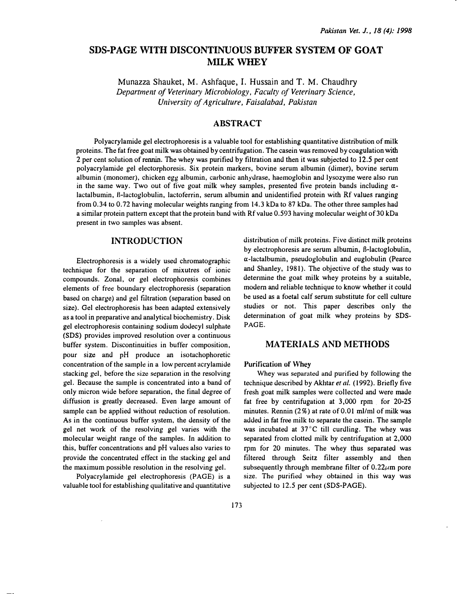# SDS-PAGE WITH DISCONTINUOUS BUFFER SYSTEM OF GOAT MILK WHEY

Munazza Shauket, M. Ashfaque, I. Hussain and T. M. Chaudhry Department of Veterinary Microbiology, Faculty of Veterinary Science, University of Agriculture, Faisalabad, Pakistan

### ABSTRACT

Polyacrylamide gel electrophoresis is a valuable tool for establishing quantitative distribution of milk proteins. The fat free goat milk was obtained by centrifugation. The casein was removed by coagulation with 2 per cent solution of rennin. The whey was purified by filtration and then it was subjected to 12.5 per cent polyacrylamide gel electorphoresis. Six protein markers, bovine serum albumin (dimer), bovine serum albumin (monomer), chicken egg albumin, carbonic anhydrase, haemoglobin and lysozyme were also run in the same way. Two out of five goat milk whey samples, presented five protein bands including  $\alpha$ lactalbumin, B-lactoglobulin, lactoferrin, serum albumin and unidentified protein with Rf values ranging from 0.34 to 0. 72 having molecular weights ranging from 14.3 kDa to 87 kDa. The other three samples had a similar protein pattern except that the protein band with Rf value 0.593 having molecular weight of 30 kDa present in two samples was absent.

### INTRODUCTION

Electrophoresis is a widely used chromatographic technique for the separation of mixutres of ionic compounds. Zonal, or gel electrophoresis combines elements of free boundary electrophoresis (separation based on charge) and gel filtration (separation based on size). Gel electrophoresis has been adapted extensively as a tool in preparative and analytical biochemistry. Disk gel electrophoresis containing sodium dodecyl sulphate (SDS) provides improved resolution over a continuous buffer system. Discontinuities in buffer composition, pour size and pH produce an isotachophoretic concentration of the sample in a low percent acrylamide stacking gel, before the size separation in the resolving gel. Because the sample is concentrated into a band of only micron wide before separation, the tinal degree of diffusion is greatly decreased. Even large amount of sample can be applied without reduction of resolution. As in the continuous buffer system, the density of the gel net work of the resolving gel varies with the molecular weight range of the samples. In addition to this, buffer concentrations and pH values also varies to provide the concentrated effect in the stacking gel and the maximum possible resolution in the resolving gel.

Polyacrylamide gel dectrophoresis (PAGE) is a valuable tool for establishing qualitative and quantitative distribution of milk proteins. Five distinct milk proteins by electrophoresis are serum albumin, B-lactoglobulin,  $\alpha$ -lactalbumin, pseudoglobulin and euglobulin (Pearce and Shanley, 1981). The objective of the study was to determine the goat milk whey proteins by a suitable, modern and reliable technique to know whether it could be used as a foetal calf serum substitute for cell culture studies or not. This paper describes only the determination of goat milk whey proteins by SDS-PAGE.

### MATERIALS AND METHODS

#### Purification of Whey

Whey was separated and purified by following the technique described by Akhtar et al. (1992). Briefly five fresh goat milk samples were collected and were made fat free by centrifugation at 3,000 rpm . for 20-25 minutes. Rennin (2%) at rate of 0.01 ml/ml of milk was added in fat free milk to separate the casein. The sample was incubated at 37°C till curdling. The whey was separated from clotted milk by centrifugation at 2,000 rpm for 20 minutes. The whey thus separated was filtered through Seitz filter assembly and then subsequently through membrane filter of  $0.22\mu$ m pore size. The purified whey obtained in this way was subjected to 12.5 per cent (SDS-PAGE).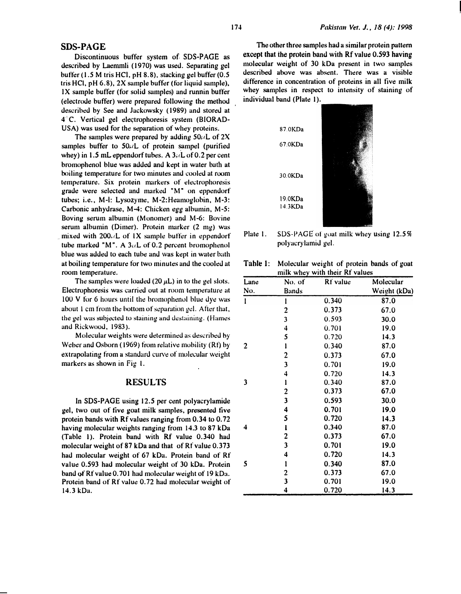### SDS-PAGE

Discontinuous buffer system of. SDS-PAGE as described by Laemmli (1970) was used. Separating gel buffer (1.5 M tris HCl, pH 8.8), stacking gel buffer (0.5) tris HCl, pH  $(6.8)$ , 2X sample buffer (for liquid sample), IX sample buffer (for solid samples) and runnin buffer (electrode buffer) were prepared following the method described by See and Jackowsky ( 1989) and stored at 4<sup>°</sup>C. Vertical gel electrophoresis system (BIORAD-USA) was used for the separation of whey proteins.

The samples were prepared by adding  $50\mu L$  of 2X samples buffer to  $50 \mu L$  of protein sampel (purified whey) in 1.5 mL eppendorf tubes. A  $3\mu$ L of 0.2 per cent bromophenol blue was added and kept in water bath at boiling temperature for two minutes and cooled at room temperature. Six protein markers of electrophoresis grade were selected and m�arked "M" on eppendorf tubes; i.e., M-1: Lysozyme, M-2:Heamoglobin, M-3: Carbonic anhydrase, M-4: Chicken egg albumin, M-5: Boving serum albumin (Monomer) and M-6: Bovine serum albumin (Dimer). Protein marker (2 mg) was mixed with  $200.4L$  of IX sample buffer in eppendorf tube marked "M". A  $3\mu L$  of 0.2 percent bromophenol blue was added to each tube and was kept in water bath at boiling temperature for two minutes and the cooled at room temperature.

The samples were loaded (20  $\mu$ L) in to the gel slots. Electrophoresis was carried out at room temperature at  $100$  V for 6 hours until the bromophenol blue dye was about 1 em from the bottom of separation gd. After that, the gel was subjected to staining and destaining. (Hames and Rickwood, 1983).

Molecular weights were determined as described by Weber and Osborn (1969) from relative mobility (Rt) by extrapolating from a standard curve of molecular weight markers as shown in Fig I.

### RESULTS

In SDS-PAGE using 12.5 per cent polyacrylamide gel, two out of tive goat milk samples, presented tive protein bands with Rf values ranging from 0.34 to 0. 72 having molecular weights ranging from 14.3 to 87 kDa (Table I). Protein band with Rf value 0.340 had molecular weight of 87 kDa and that of Rf value 0.373 had molecular weight of 67 kDa. Protein band of Rf value 0.593 had molecular weight of 30 kDa. Protein band of Rf value 0.701 had molecular weight of 19 kDa. Protein band of Rf value 0.72 had molecular weight of 14. 3 kDa.

The other three samples had a similar protein pattern except that the protein band with Rf value 0.593 having molecular weight of 30 kDa present in two samples described above was absent. There was a visible difference in concentration of proteins in all five milk whey samples in respect to intensity of staining of individual band (Plate 1).



Plate 1. SDS-PAGE of goat milk whey using  $12.5\%$ polyucrylmniJ gel.

|                                | Table 1: Molecular weight of protein bands of goat |  |  |  |
|--------------------------------|----------------------------------------------------|--|--|--|
| milk whey with their Rf values |                                                    |  |  |  |

| Lane | No. of                  | Rt value | Molecular    |
|------|-------------------------|----------|--------------|
| No.  | <b>Bands</b>            |          | Weight (kDa) |
| l    | ı                       | 0.340    | 87.0         |
|      | $\overline{\mathbf{c}}$ | 0.373    | 67.0         |
|      | 3                       | 0.593    | 30,0         |
|      | 4                       | 0.701    | 19.0         |
|      | 5                       | 0.720    | 14.3         |
| 2    | l                       | 0.340    | 87.0         |
|      | 2                       | 0.373    | 67.0         |
|      | $\overline{\mathbf{3}}$ | 0.701    | 19.0         |
|      | 4                       | 0.720    | 14.3         |
| 3    | ı                       | 0.340    | 87.0         |
|      | $\overline{\mathbf{c}}$ | 0.373    | 67.0         |
|      | $\overline{\mathbf{3}}$ | 0.593    | 30.0         |
|      | 4                       | 0.701    | 19.0         |
|      | 5                       | 0.720    | 14.3         |
| 4    | l                       | 0.340    | 87.0         |
|      | 2                       | 0.373    | 67.0         |
|      | $\overline{\mathbf{3}}$ | 0.701    | 19.0         |
|      | 4                       | 0.720    | 14.3         |
| 5    | l                       | 0.340    | 87.0         |
|      | 2                       | 0.373    | 67.0         |
|      | 3                       | 0.701    | 19.0         |
|      | 4                       | 0.720    | 14.3         |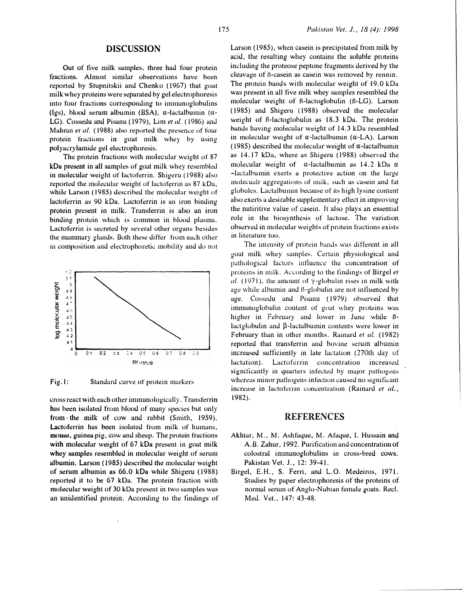# DISCUSSION

Out of tive milk samples, three had four protein fractions. Almost similar observations have been reported by Stupnitskii and Chenko (1967) that goat milk whey proteins were separated by gel electrophoresis into four fractions corresponding to immunoglobulins (lgs), blood serum albumin (BSA),  $\alpha$ -lactalbumin ( $\alpha$ -LG). Cossedu and Pisanu (1979), Lim et al. (1986) and Mahran et al. (1988) also reported the presence of four protein fractions in goat milk whey by using polyacrylamide gel electrophoresis.

The protein fractions with molecular weight of 87 kDa present in all samples of goat milk whey resembled in molecular weight of lactoferrin. Shigeru (1988) also reported the molecular weight of lactoferrin as 87 kDa, while Larson (1985) described the molecular weight of lactoferrin as 90 kDa. Lactoferrin is an iron binding protein present in milk. Transferrin is also an iron binding protein which is common in blood plasma. Lactoferrin is secreted by several other organs besides the mammary glands. Both these differ from each other in composition and electrophoretic mobility and do not



Fig.l: Standard curve of protein markers

cross react \Vith each other immunologically. Transferrin has been isolated from blood of many species but only from the milk of cow and rabbit (Smith, 1959). Lactoferrin has been isolated from milk of humans, mouse, guinea pig, cow and sheep. The protein fractions with molecular weight of 67 kDa present in goat milk whey samples resembled in molecular weight of serum albumin. Larson ( 1985) described the molecular weight of serum albumin as 66.0 kDa while Shigeru (1988) reported it to be 67 kDa. The protein fraction with molecular weight of 30 kDa present in two samples was an unidentitied protein. According to the tindings of Larson (1985), when case in is precipitated from milk by acid, the resulting whey contains the soluble proteins including the proteose peptone fragments derived by the cleavage of H-casein as casein was removed by rennin. The protein bands with molecular weight of 19.0 kDa was present in all five milk whey samples resembled the molecular weight of B-lactoglobulin (B-LG). Larson ( 1985) and Shigeru ( 1988) observed the molecular weight of B-lactoglobulin as 18.3 kDa. The protein bands having molecular weight of 14.3 kDa resembled in molecular weight of  $\alpha$ -lactalbumin ( $\alpha$ -LA). Larson (1985) described the molecular weight of  $\alpha$ -lactalbumin as 14.17 kDa, where as Shigeru ( 1988) observed the molecular weight of  $\alpha$ -lactalbumin as 14.2 kDa  $\alpha$ -lactalbumin exerts a protective action on the large molecualr aggregations of milk, such as casein and fat. globules. Lactalbumin because of its high lysine content also exerts a desirable supplementary effect in improving the nutiritive value of casein. It also plays an essential role in the biosynthesis of lactose. The variation observed in molecular weights of protein fractions exists in literature too.

The intensity of protein bands was different in all goat milk whey samples. Certain physiological and pathological factors influence the concentration of proteins in milk. According to the findings of Birgel et al. (1971), the amount of  $\gamma$ -globulin rises in milk with age while albumin and B-globulin are not influenced by age. Cossedu and Pisanu ( 1979) observed that immunoglobulin content of goat whey proteins was higher in February and lower in June while Blactglobulin and  $\beta$ -lactalbumin contents were lower in February than in other months. Rainard et al. (1982) reported that transferrin and bovine serum albumin increased sufficiently in late lactation (270th day of lactation). Lactoferrin concentration increased significantly in quarters infected by major pathogens whereas minor pathogens infection caused no signiticant increase in lactoferrin concentration (Rainard et al., 1982).

# REFERENCES

- Akhtar, M., M. Ashfaque, M. Afaque, I. Hussain and A.B. Zahur, 1992. Purification and concentration of colostral immunoglobulins in cross-bred cows. Pakistan Vet. J., 12: 39-41.
- Birge!, E.H., S. Ferri, and L.O. Medeiros, 1971. Studics by paper electrophoresis of the proteins of normal serum of Anglo-Nubian female goats. Reel. Med. Vet., 147: 43-48.